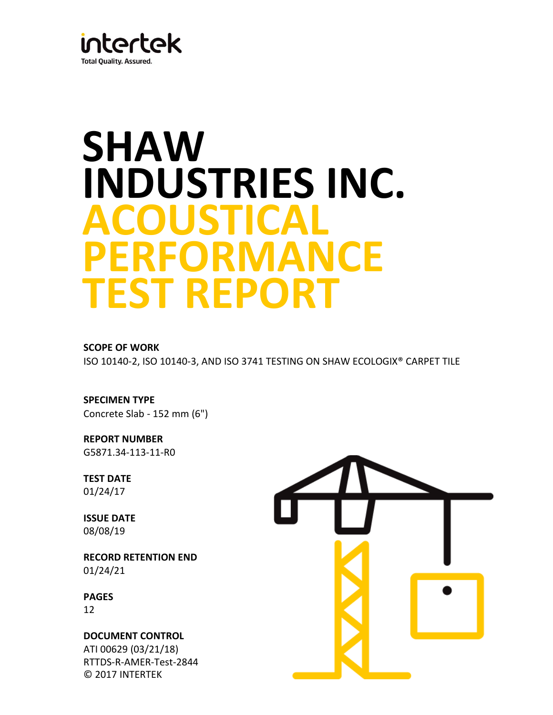

# **SHAW INDUSTRIES INC. ACOUSTICAL PERFORMANCE TEST REPORT**

## **SCOPE OF WORK**

ISO 10140-2, ISO 10140-3, AND ISO 3741 TESTING ON SHAW ECOLOGIX® CARPET TILE

**SPECIMEN TYPE** Concrete Slab - 152 mm (6")

**REPORT NUMBER** G5871.34-113-11-R0

**TEST DATE** 01/24/17

**ISSUE DATE** 08/08/19

**RECORD RETENTION END**  01/24/21

**PAGES** 12

**DOCUMENT CONTROL**  ATI 00629 (03/21/18) RTTDS-R-AMER-Test-2844 © 2017 INTERTEK

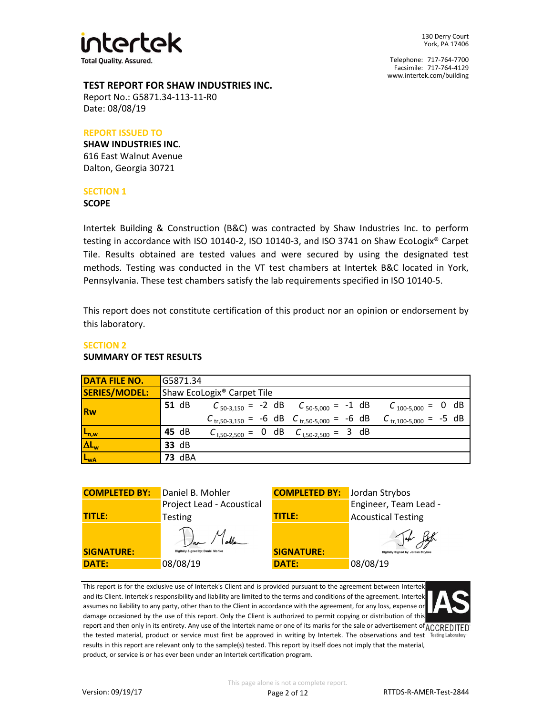

Telephone: 717-764-7700 Facsimile: 717-764-4129 www.intertek.com/building

#### **TEST REPORT FOR SHAW INDUSTRIES INC.**

Report No.: G5871.34-113-11-R0 Date: 08/08/19

### **REPORT ISSUED TO**

**SHAW INDUSTRIES INC.** 616 East Walnut Avenue Dalton, Georgia 30721

## **SECTION 1**

#### **SCOPE**

Intertek Building & Construction (B&C) was contracted by Shaw Industries Inc. to perform testing in accordance with ISO 10140-2, ISO 10140-3, and ISO 3741 on Shaw EcoLogix® Carpet Tile. Results obtained are tested values and were secured by using the designated test methods. Testing was conducted in the VT test chambers at Intertek B&C located in York, Pennsylvania. These test chambers satisfy the lab requirements specified in ISO 10140-5.

This report does not constitute certification of this product nor an opinion or endorsement by this laboratory.

#### **SECTION 2 SUMMARY OF TEST RESULTS**

| <b>DATA FILE NO.</b> | G5871.34                                                                                               |
|----------------------|--------------------------------------------------------------------------------------------------------|
| SERIES/MODEL:        | Shaw EcoLogix <sup>®</sup> Carpet Tile                                                                 |
| Rw                   | <b>51 dB</b><br>$C_{50-3,150} = -2$ dB $C_{50-5,000} = -1$ dB<br>$C_{100-5,000} = 0$ dB                |
|                      | $C_{\text{tr,}50-3,150}$ = -6 dB $C_{\text{tr,}50-5,000}$ = -6 dB<br>$C_{\text{tr},100-5,000} = -5$ dB |
| $L_{n,w}$            | 45 dB<br>$C_{1,50-2,500} = 0$ dB $C_{1,50-2,500} = 3$ dB                                               |
| $\Delta L_w$         | 33 dB                                                                                                  |
| L <sub>wA</sub>      | <b>73 dBA</b>                                                                                          |

| <b>COMPLETED BY:</b> | Daniel B. Mohler                                | <b>COMPLETED BY:</b> Jordan Strybos |                                     |
|----------------------|-------------------------------------------------|-------------------------------------|-------------------------------------|
|                      | Project Lead - Acoustical                       |                                     | Engineer, Team Lead -               |
| <b>TITLE:</b>        | <b>Testing</b>                                  | <b>TITLE:</b>                       | <b>Acoustical Testing</b>           |
| <b>SIGNATURE:</b>    | Var Molle<br>Digitally Signed by: Daniel Mohler | <b>SIGNATURE:</b>                   | Digitally Signed by: Jordan Strybos |
| <b>DATE:</b>         | 08/08/19                                        | <b>DATE:</b>                        | 08/08/19                            |

This report is for the exclusive use of Intertek's Client and is provided pursuant to the agreement between Intertek and its Client. Intertek's responsibility and liability are limited to the terms and conditions of the agreement. Intertek assumes no liability to any party, other than to the Client in accordance with the agreement, for any loss, expense or damage occasioned by the use of this report. Only the Client is authorized to permit copying or distribution of this report and then only in its entirety. Any use of the Intertek name or one of its marks for the sale or advertisement of ACCREDITED the tested material, product or service must first be approved in writing by Intertek. The observations and test Testing Laboratory results in this report are relevant only to the sample(s) tested. This report by itself does not imply that the material, product, or service is or has ever been under an Intertek certification program.

Page 2 of 12 RTTDS-R-AMER-Test-2844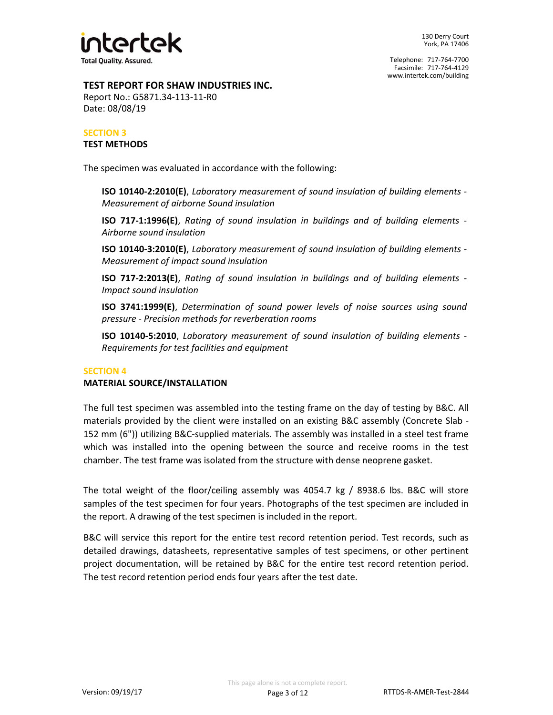

## **TEST REPORT FOR SHAW INDUSTRIES INC.**

Report No.: G5871.34-113-11-R0 Date: 08/08/19

## **SECTION 3 TEST METHODS**

The specimen was evaluated in accordance with the following:

**ISO 10140-2:2010(E)**, *Laboratory measurement of sound insulation of building elements - Measurement of airborne Sound insulation*

**ISO 717-1:1996(E)**, *Rating of sound insulation in buildings and of building elements - Airborne sound insulation*

**ISO 10140-3:2010(E)**, *Laboratory measurement of sound insulation of building elements - Measurement of impact sound insulation*

**ISO 717-2:2013(E)**, *Rating of sound insulation in buildings and of building elements - Impact sound insulation*

**ISO 3741:1999(E)**, *Determination of sound power levels of noise sources using sound pressure - Precision methods for reverberation rooms*

**ISO 10140-5:2010**, *Laboratory measurement of sound insulation of building elements - Requirements for test facilities and equipment*

## **SECTION 4**

#### **MATERIAL SOURCE/INSTALLATION**

The full test specimen was assembled into the testing frame on the day of testing by B&C. All materials provided by the client were installed on an existing B&C assembly (Concrete Slab - 152 mm (6")) utilizing B&C-supplied materials. The assembly was installed in a steel test frame which was installed into the opening between the source and receive rooms in the test chamber. The test frame was isolated from the structure with dense neoprene gasket.

The total weight of the floor/ceiling assembly was 4054.7 kg / 8938.6 lbs. B&C will store samples of the test specimen for four years. Photographs of the test specimen are included in the report. A drawing of the test specimen is included in the report.

B&C will service this report for the entire test record retention period. Test records, such as detailed drawings, datasheets, representative samples of test specimens, or other pertinent project documentation, will be retained by B&C for the entire test record retention period. The test record retention period ends four years after the test date.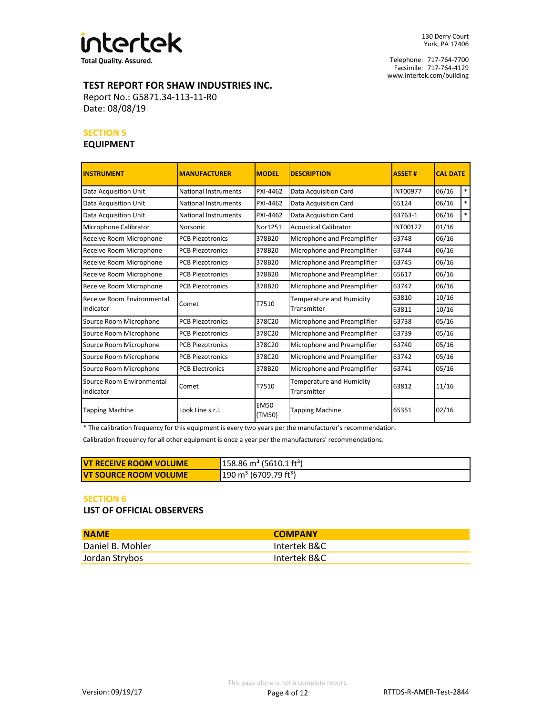

**Total Quality. Assured.** 

130 Derry Court York, PA 17406

Telephone: 717-764-7700 Facsimile: 717-764-4129 www.intertek.com/building

## **TEST REPORT FOR SHAW INDUSTRIES INC.**

Report No.: G5871.34-113-11-R0 Date: 08/08/19

#### **SECTION 5**

## **EQUIPMENT**

| <b>INSTRUMENT</b>                      | <b>MANUFACTURER</b>         | <b>MODEL</b>          | <b>DESCRIPTION</b>                      | <b>ASSET#</b>   | <b>CAL DATE</b> |        |
|----------------------------------------|-----------------------------|-----------------------|-----------------------------------------|-----------------|-----------------|--------|
| Data Acquisition Unit                  | National Instruments        | PXI-4462              | Data Acquisition Card                   | <b>INT00977</b> | 06/16           | $\ast$ |
| <b>Data Acquisition Unit</b>           | <b>National Instruments</b> | PXI-4462              | Data Acquisition Card                   | 65124           | 06/16           | $*$    |
| <b>Data Acquisition Unit</b>           | National Instruments        | PXI-4462              | Data Acquisition Card                   | 63763-1         | 06/16           | $\ast$ |
| Microphone Calibrator                  | <b>Norsonic</b>             | Nor1251               | <b>Acoustical Calibrator</b>            | INT00127        | 01/16           |        |
| Receive Room Microphone                | <b>PCB Piezotronics</b>     | 378B20                | Microphone and Preamplifier             | 63748           | 06/16           |        |
| Receive Room Microphone                | <b>PCB Piezotronics</b>     | 378B20                | Microphone and Preamplifier             | 63744           | 06/16           |        |
| Receive Room Microphone                | <b>PCB Piezotronics</b>     | 378B20                | Microphone and Preamplifier             | 63745           | 06/16           |        |
| Receive Room Microphone                | <b>PCB Piezotronics</b>     | 378B20                | Microphone and Preamplifier             | 65617           | 06/16           |        |
| Receive Room Microphone                | <b>PCB Piezotronics</b>     | 378B20                | Microphone and Preamplifier             | 63747           | 06/16           |        |
| Receive Room Environmental             | Comet                       | T7510                 | Temperature and Humidity                | 63810           | 10/16           |        |
| Indicator                              |                             |                       | Transmitter                             | 63811           | 10/16           |        |
| Source Room Microphone                 | <b>PCB Piezotronics</b>     | 378C20                | Microphone and Preamplifier             | 63738           | 05/16           |        |
| Source Room Microphone                 | <b>PCB Piezotronics</b>     | 378C20                | Microphone and Preamplifier             | 63739           | 05/16           |        |
| Source Room Microphone                 | <b>PCB Piezotronics</b>     | 378C20                | Microphone and Preamplifier             | 63740           | 05/16           |        |
| Source Room Microphone                 | <b>PCB Piezotronics</b>     | 378C20                | Microphone and Preamplifier             | 63742           | 05/16           |        |
| Source Room Microphone                 | <b>PCB Electronics</b>      | 378B20                | Microphone and Preamplifier             | 63741           | 05/16           |        |
| Source Room Environmental<br>Indicator | Comet                       | T7510                 | Temperature and Humidity<br>Transmitter | 63812           | 11/16           |        |
| <b>Tapping Machine</b>                 | Look Line s.r.l.            | <b>EM50</b><br>(TM50) | <b>Tapping Machine</b>                  | 65351           | 02/16           |        |

\* The calibration frequency for this equipment is every two years per the manufacturer's recommendation.

Calibration frequency for all other equipment is once a year per the manufacturers' recommendations.

| <b>IVT RECEIVE ROOM VOLUME</b> | $158.86 \text{ m}^3$ (5610.1 ft <sup>3</sup> ) |
|--------------------------------|------------------------------------------------|
| <b>IVT SOURCE ROOM VOLUME</b>  | $190 \text{ m}^3$ (6709.79 ft <sup>3</sup> )   |

#### **SECTION 6**

**LIST OF OFFICIAL OBSERVERS**

| <b>NAME</b>      | <b>COMPANY</b> |
|------------------|----------------|
| Daniel B. Mohler | Intertek B&C   |
| Jordan Strybos   | Intertek B&C   |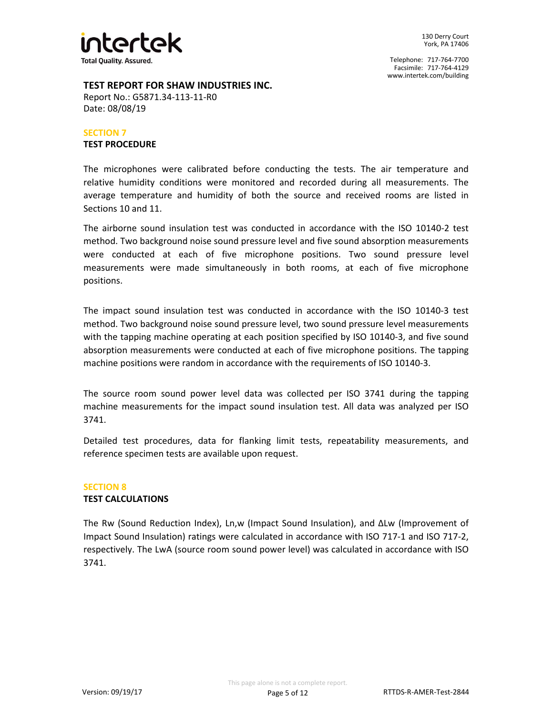

#### **TEST REPORT FOR SHAW INDUSTRIES INC.**

Report No.: G5871.34-113-11-R0 Date: 08/08/19

#### **SECTION 7 TEST PROCEDURE**

The microphones were calibrated before conducting the tests. The air temperature and relative humidity conditions were monitored and recorded during all measurements. The average temperature and humidity of both the source and received rooms are listed in Sections 10 and 11.

The airborne sound insulation test was conducted in accordance with the ISO 10140-2 test method. Two background noise sound pressure level and five sound absorption measurements were conducted at each of five microphone positions. Two sound pressure level measurements were made simultaneously in both rooms, at each of five microphone positions.

The impact sound insulation test was conducted in accordance with the ISO 10140-3 test method. Two background noise sound pressure level, two sound pressure level measurements with the tapping machine operating at each position specified by ISO 10140-3, and five sound absorption measurements were conducted at each of five microphone positions. The tapping machine positions were random in accordance with the requirements of ISO 10140-3.

The source room sound power level data was collected per ISO 3741 during the tapping machine measurements for the impact sound insulation test. All data was analyzed per ISO 3741.

Detailed test procedures, data for flanking limit tests, repeatability measurements, and reference specimen tests are available upon request.

#### **SECTION 8 TEST CALCULATIONS**

The Rw (Sound Reduction Index), Ln,w (Impact Sound Insulation), and ΔLw (Improvement of Impact Sound Insulation) ratings were calculated in accordance with ISO 717-1 and ISO 717-2, respectively. The LwA (source room sound power level) was calculated in accordance with ISO 3741.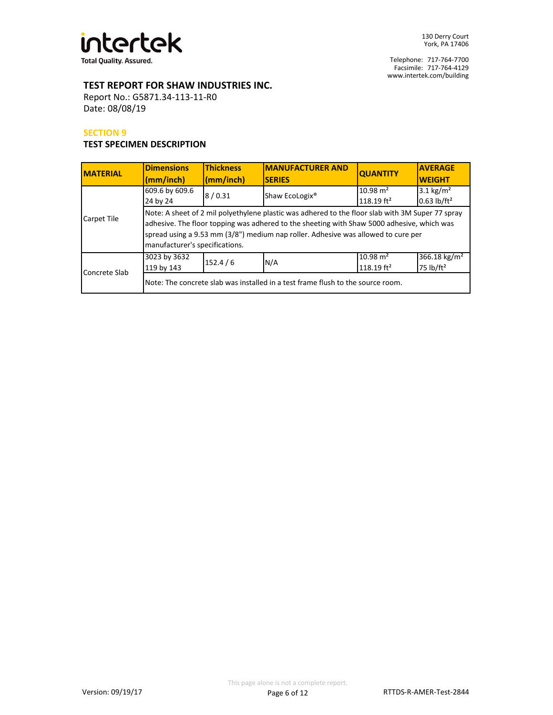

Telephone: 717-764-7700 Facsimile: 717-764-4129 www.intertek.com/building

## **TEST REPORT FOR SHAW INDUSTRIES INC.**

Report No.: G5871.34-113-11-R0 Date: 08/08/19

#### **SECTION 9**

## **TEST SPECIMEN DESCRIPTION**

| <b>MATERIAL</b> | <b>Dimensions</b><br>(mm/inch)                                                                                                                                                                                                                                                                                        | <b>Thickness</b><br>(mm/inch) | <b>IMANUFACTURER AND</b><br><b>SERIES</b> | <b>QUANTITY</b>                               | <b>AVERAGE</b><br><b>WEIGHT</b>                  |  |  |
|-----------------|-----------------------------------------------------------------------------------------------------------------------------------------------------------------------------------------------------------------------------------------------------------------------------------------------------------------------|-------------------------------|-------------------------------------------|-----------------------------------------------|--------------------------------------------------|--|--|
|                 | 609.6 by 609.6<br>24 by 24                                                                                                                                                                                                                                                                                            | 8/0.31                        | Shaw EcoLogix <sup>®</sup>                | $10.98 \text{ m}^2$<br>118.19 ft <sup>2</sup> | 3.1 $\text{kg/m}^2$<br>$0.63$ lb/ft <sup>2</sup> |  |  |
| Carpet Tile     | Note: A sheet of 2 mil polyethylene plastic was adhered to the floor slab with 3M Super 77 spray<br>adhesive. The floor topping was adhered to the sheeting with Shaw 5000 adhesive, which was<br>spread using a 9.53 mm (3/8") medium nap roller. Adhesive was allowed to cure per<br>manufacturer's specifications. |                               |                                           |                                               |                                                  |  |  |
| Concrete Slab   | 3023 by 3632<br>119 by 143                                                                                                                                                                                                                                                                                            | 152.4/6                       | N/A                                       | $10.98 \text{ m}^2$<br>118.19 $ft^2$          | 366.18 kg/m <sup>2</sup><br>75 $lb/ft^2$         |  |  |
|                 | Note: The concrete slab was installed in a test frame flush to the source room.                                                                                                                                                                                                                                       |                               |                                           |                                               |                                                  |  |  |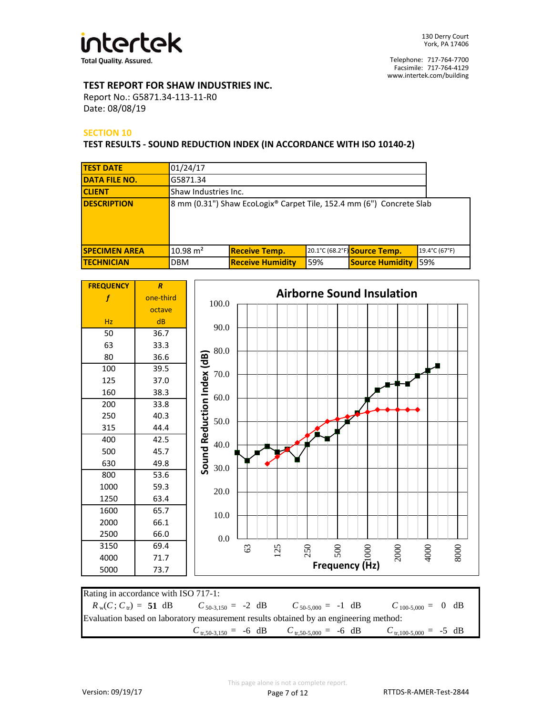

## **TEST REPORT FOR SHAW INDUSTRIES INC.**

Report No.: G5871.34-113-11-R0 Date: 08/08/19

## **SECTION 10**

#### **TEST RESULTS - SOUND REDUCTION INDEX (IN ACCORDANCE WITH ISO 10140-2)**

| <b>TEST DATE</b>     | 01/24/17             |                                                                      |     |                              |               |  |
|----------------------|----------------------|----------------------------------------------------------------------|-----|------------------------------|---------------|--|
| <b>DATA FILE NO.</b> | G5871.34             |                                                                      |     |                              |               |  |
| <b>CLIENT</b>        | Shaw Industries Inc. |                                                                      |     |                              |               |  |
| <b>DESCRIPTION</b>   |                      | 8 mm (0.31") Shaw EcoLogix® Carpet Tile, 152.4 mm (6") Concrete Slab |     |                              |               |  |
| <b>SPECIMEN AREA</b> | $10.98 \text{ m}^2$  | <b>Receive Temp.</b>                                                 |     | 20.1°C (68.2°F) Source Temp. | 19.4°C (67°F) |  |
| <b>TECHNICIAN</b>    | <b>DBM</b>           | <b>Receive Humidity</b>                                              | 59% | <b>Source Humidity</b>       | 59%           |  |



| Rating in accordance with ISO 717-1:                                                       |  |                                                                                   |                                           |  |  |
|--------------------------------------------------------------------------------------------|--|-----------------------------------------------------------------------------------|-------------------------------------------|--|--|
| $R_w(C; C_w) = 51$ dB $C_{50-3.150} = -2$ dB $C_{50-5.000} = -1$ dB $C_{100-5.000} = 0$ dB |  |                                                                                   |                                           |  |  |
| Evaluation based on laboratory measurement results obtained by an engineering method:      |  |                                                                                   |                                           |  |  |
|                                                                                            |  | $C_{\text{tr,}50-3,150} = -6 \text{ dB}$ $C_{\text{tr,}50-5,000} = -6 \text{ dB}$ | $C_{\text{tr},100-5,000} = -5 \text{ dB}$ |  |  |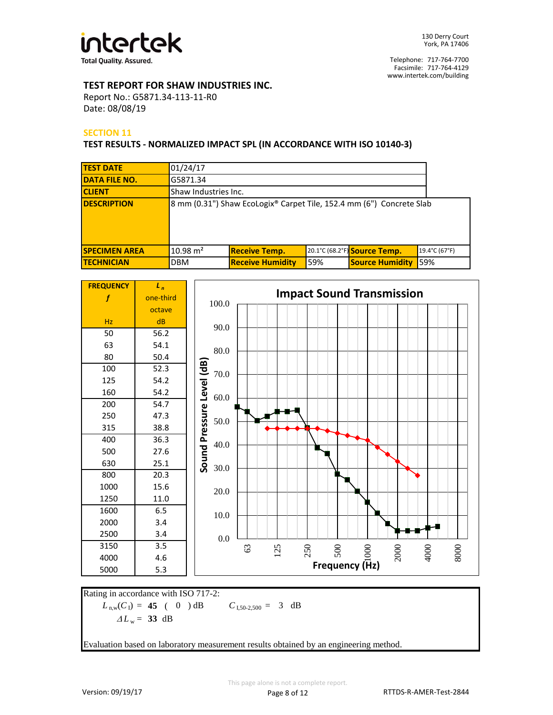

## **TEST REPORT FOR SHAW INDUSTRIES INC.**

Report No.: G5871.34-113-11-R0 Date: 08/08/19

## **SECTION 11**

#### **TEST RESULTS - NORMALIZED IMPACT SPL (IN ACCORDANCE WITH ISO 10140-3)**

| <b>TEST DATE</b>     | 01/24/17             |                                                                      |     |                              |               |  |
|----------------------|----------------------|----------------------------------------------------------------------|-----|------------------------------|---------------|--|
| <b>DATA FILE NO.</b> | G5871.34             |                                                                      |     |                              |               |  |
| <b>CLIENT</b>        | Shaw Industries Inc. |                                                                      |     |                              |               |  |
| <b>DESCRIPTION</b>   |                      | 8 mm (0.31") Shaw EcoLogix® Carpet Tile, 152.4 mm (6") Concrete Slab |     |                              |               |  |
| <b>SPECIMEN AREA</b> | $10.98 \text{ m}^2$  | <b>Receive Temp.</b>                                                 |     | 20.1°C (68.2°F) Source Temp. | 19.4°C (67°F) |  |
| <b>ITECHNICIAN</b>   | <b>DBM</b>           | <b>Receive Humidity</b>                                              | 59% | <b>Source Humidity</b>       | 59%           |  |



 $L_{\text{n,w}}(C_1) = 45$  ( 0 ) dB  $C_{1,50-2,500} =$ Rating in accordance with ISO 717-2:  $C_{1,50-2,500} = 3$  dB  $\Delta L_w = 33$  dB

Evaluation based on laboratory measurement results obtained by an engineering method.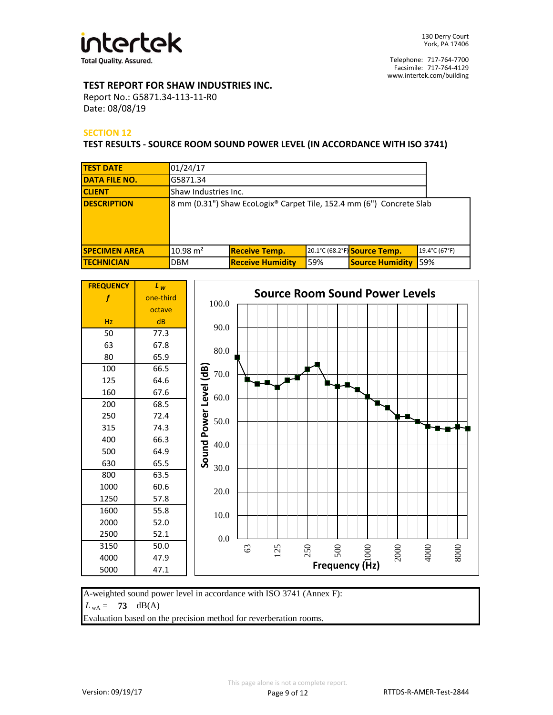

## **TEST REPORT FOR SHAW INDUSTRIES INC.**

Report No.: G5871.34-113-11-R0 Date: 08/08/19

## **SECTION 12**

**TEST RESULTS - SOURCE ROOM SOUND POWER LEVEL (IN ACCORDANCE WITH ISO 3741)**

| <b>TEST DATE</b>     | 01/24/17             |                                                                      |     |                              |               |
|----------------------|----------------------|----------------------------------------------------------------------|-----|------------------------------|---------------|
| <b>DATA FILE NO.</b> | G5871.34             |                                                                      |     |                              |               |
| <b>CLIENT</b>        | Shaw Industries Inc. |                                                                      |     |                              |               |
| <b>DESCRIPTION</b>   |                      | 8 mm (0.31") Shaw EcoLogix® Carpet Tile, 152.4 mm (6") Concrete Slab |     |                              |               |
| <b>SPECIMEN AREA</b> | $10.98 \text{ m}^2$  | <b>Receive Temp.</b>                                                 |     | 20.1°C (68.2°F) Source Temp. | 19.4°C (67°F) |
| <b>TECHNICIAN</b>    | <b>DBM</b>           | <b>Receive Humidity</b>                                              | 59% | <b>Source Humidity</b>       | 59%           |

| <b>FREQUENCY</b> | $\mathsf{L}_w$ |                                                         |  |
|------------------|----------------|---------------------------------------------------------|--|
| f                | one-third      | <b>Source Room Sound Power Levels</b><br>100.0          |  |
|                  | octave         |                                                         |  |
| Hz               | dB             | 90.0                                                    |  |
| 50               | 77.3           |                                                         |  |
| 63               | 67.8           | 80.0                                                    |  |
| 80               | 65.9           |                                                         |  |
| 100              | 66.5           | $70.0\,$                                                |  |
| 125              | 64.6           |                                                         |  |
| 160              | 67.6           | Level (dB)<br>$60.0\,$                                  |  |
| 200              | 68.5           |                                                         |  |
| 250              | 72.4           | Power<br>50.0                                           |  |
| 315              | 74.3           |                                                         |  |
| 400              | 66.3           | 40.0                                                    |  |
| 500              | 64.9           |                                                         |  |
| 630              | 65.5           | Sound<br>30.0                                           |  |
| 800              | 63.5           |                                                         |  |
| 1000             | 60.6           | 20.0                                                    |  |
| 1250             | 57.8           |                                                         |  |
| 1600             | 55.8           | 10.0                                                    |  |
| 2000             | 52.0           |                                                         |  |
| 2500             | 52.1           | $0.0\,$                                                 |  |
| 3150             | 50.0           | 250<br>63<br>125                                        |  |
| 4000             | 47.9           | 2000<br>4000<br>8000<br>$\frac{2}{3}$<br>Frequency (Hz) |  |
| 5000             | 47.1           |                                                         |  |

A-weighted sound power level in accordance with ISO 3741 (Annex F):

 $L_{\text{wA}} = 73 \text{ dB(A)}$ 

Evaluation based on the precision method for reverberation rooms.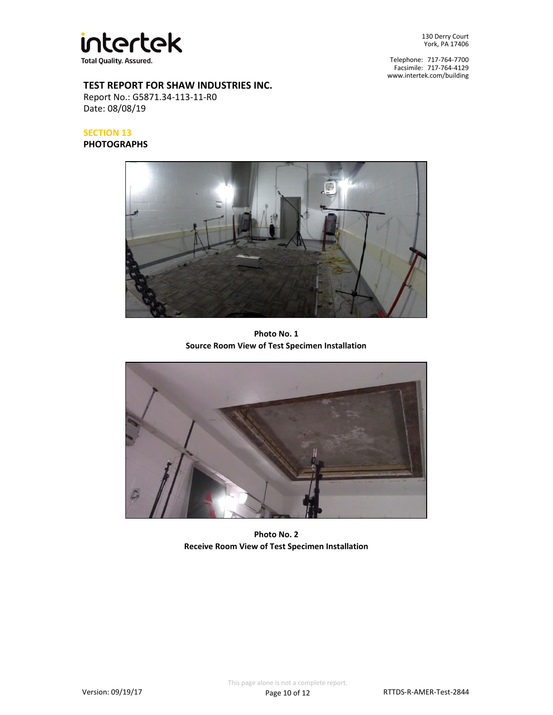

Telephone: 717-764-7700 Facsimile: 717-764-4129 www.intertek.com/building

## **TEST REPORT FOR SHAW INDUSTRIES INC.**

Report No.: G5871.34-113-11-R0 Date: 08/08/19

# **SECTION 13**

**PHOTOGRAPHS**



**Photo No. 1 Source Room View of Test Specimen Installation**



**Photo No. 2 Receive Room View of Test Specimen Installation**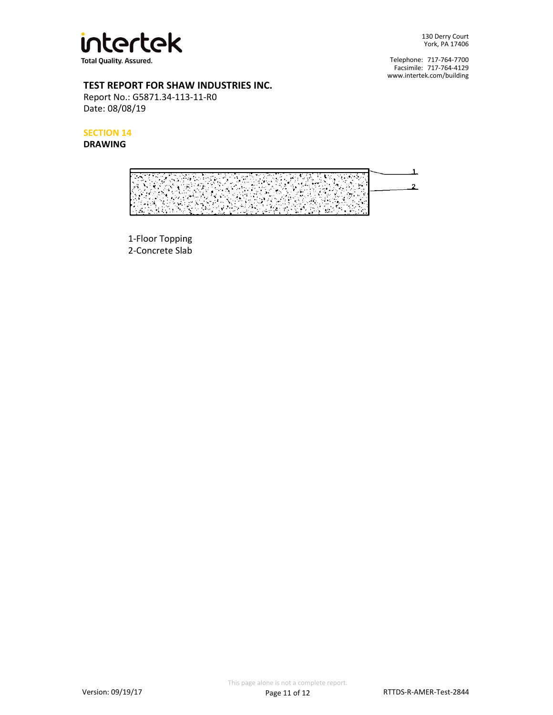

Telephone: 717-764-7700 Facsimile: 717-764-4129 www.intertek.com/building

## **TEST REPORT FOR SHAW INDUSTRIES INC.**

Report No.: G5871.34-113-11-R0 Date: 08/08/19

**SECTION 14**

## **DRAWING**



1-Floor Topping 2-Concrete Slab